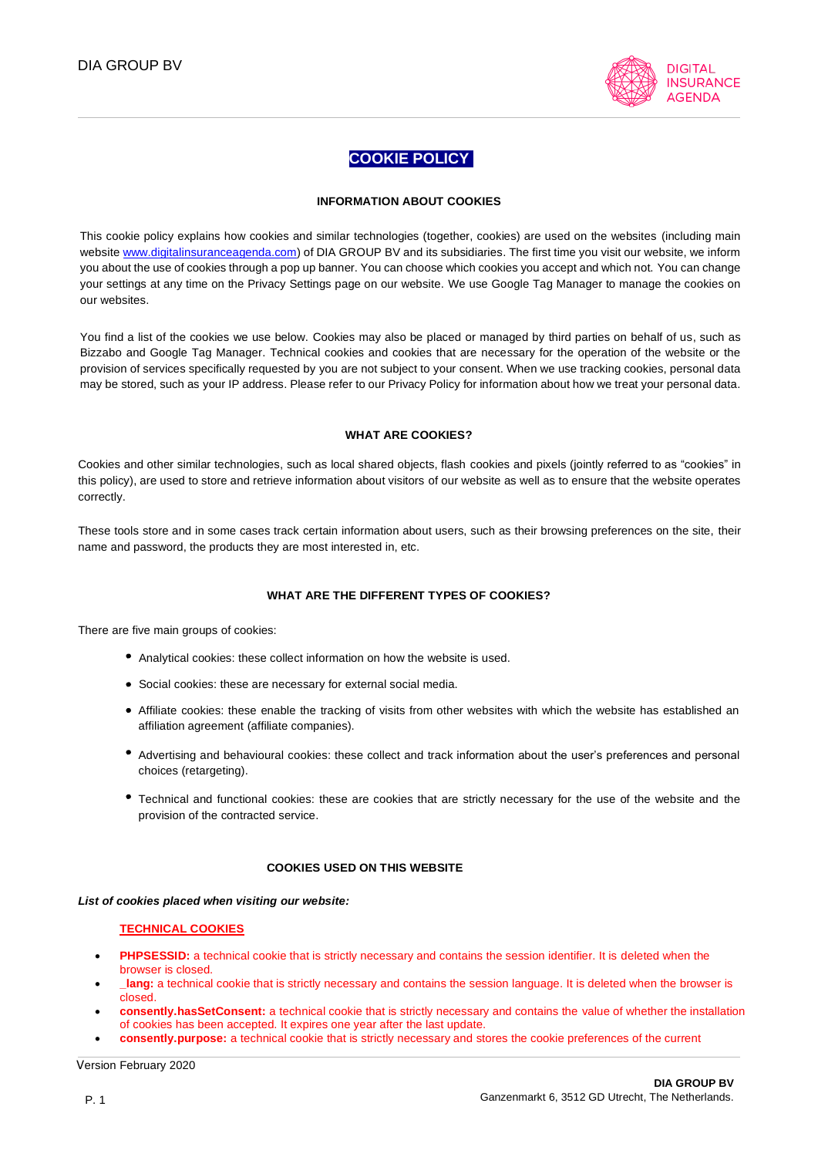

# **COOKIE POLICY**

### **INFORMATION ABOUT COOKIES**

This cookie policy explains how cookies and similar technologies (together, cookies) are used on the websites (including main websit[e www.digitalinsuranceagenda.com\)](http://www.digitalinsuranceagenda.com/) of DIA GROUP BV and its subsidiaries. The first time you visit our website, we inform you about the use of cookies through a pop up banner. You can choose which cookies you accept and which not. You can change your settings at any time on the Privacy Settings page on our website. We use Google Tag Manager to manage the cookies on our websites.

You find a list of the cookies we use below. Cookies may also be placed or managed by third parties on behalf of us, such as Bizzabo and Google Tag Manager. Technical cookies and cookies that are necessary for the operation of the website or the provision of services specifically requested by you are not subject to your consent. When we use tracking cookies, personal data may be stored, such as your IP address. Please refer to our Privacy Policy for information about how we treat your personal data.

### **WHAT ARE COOKIES?**

Cookies and other similar technologies, such as local shared objects, flash cookies and pixels (jointly referred to as "cookies" in this policy), are used to store and retrieve information about visitors of our website as well as to ensure that the website operates correctly.

These tools store and in some cases track certain information about users, such as their browsing preferences on the site, their name and password, the products they are most interested in, etc.

### **WHAT ARE THE DIFFERENT TYPES OF COOKIES?**

There are five main groups of cookies:

- Analytical cookies: these collect information on how the website is used.
- Social cookies: these are necessary for external social media.
- Affiliate cookies: these enable the tracking of visits from other websites with which the website has established an affiliation agreement (affiliate companies).
- Advertising and behavioural cookies: these collect and track information about the user's preferences and personal choices (retargeting).
- Technical and functional cookies: these are cookies that are strictly necessary for the use of the website and the provision of the contracted service.

#### **COOKIES USED ON THIS WEBSITE**

*List of cookies placed when visiting our website:*

#### **TECHNICAL COOKIES**

- **PHPSESSID:** a technical cookie that is strictly necessary and contains the session identifier. It is deleted when the browser is closed.
- **\_lang:** a technical cookie that is strictly necessary and contains the session language. It is deleted when the browser is closed.
- **consently.hasSetConsent:** a technical cookie that is strictly necessary and contains the value of whether the installation of cookies has been accepted. It expires one year after the last update.
- **consently.purpose:** a technical cookie that is strictly necessary and stores the cookie preferences of the current

Version February 2020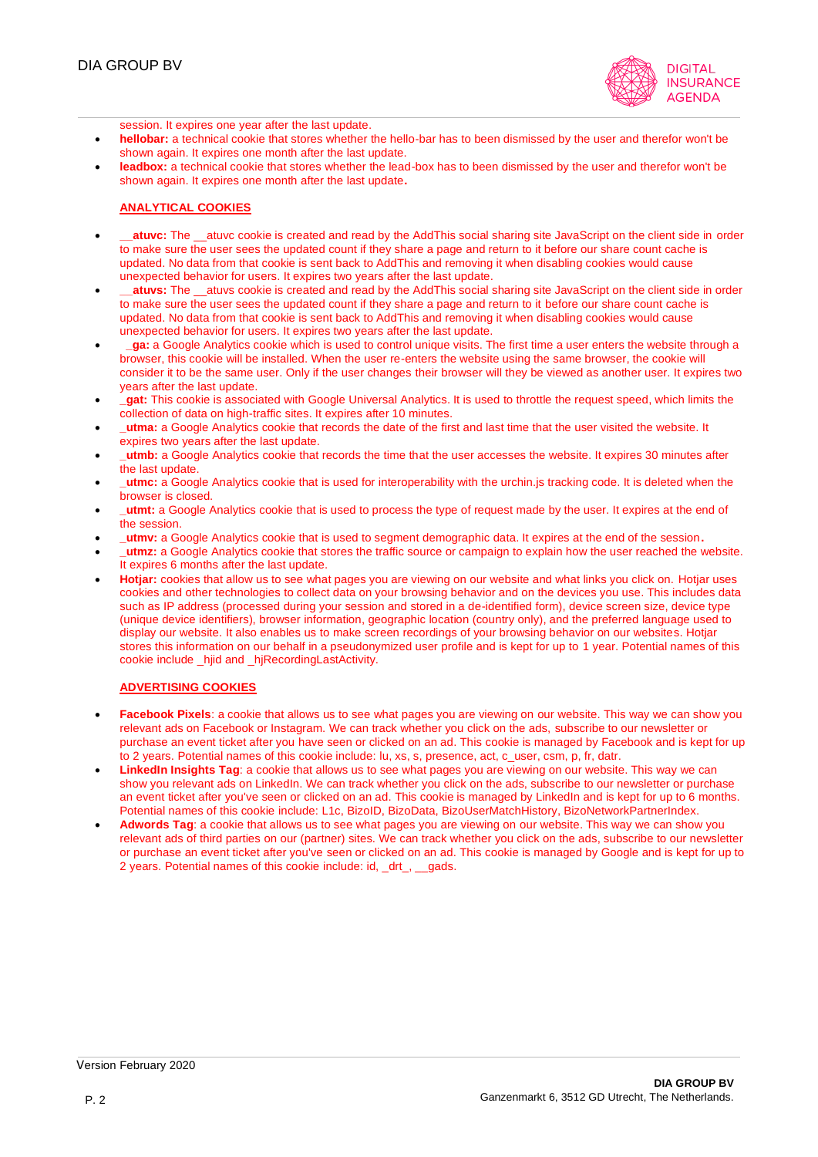

session. It expires one year after the last update.

- **hellobar:** a technical cookie that stores whether the hello-bar has to been dismissed by the user and therefor won't be shown again. It expires one month after the last update.
- leadbox: a technical cookie that stores whether the lead-box has to been dismissed by the user and therefor won't be shown again. It expires one month after the last update**.**

### **ANALYTICAL COOKIES**

- **atuvc:** The atuvc cookie is created and read by the AddThis social sharing site JavaScript on the client side in order to make sure the user sees the updated count if they share a page and return to it before our share count cache is updated. No data from that cookie is sent back to AddThis and removing it when disabling cookies would cause unexpected behavior for users. It expires two years after the last update.
- **atuvs:** The \_atuvs cookie is created and read by the AddThis social sharing site JavaScript on the client side in order to make sure the user sees the updated count if they share a page and return to it before our share count cache is updated. No data from that cookie is sent back to AddThis and removing it when disabling cookies would cause unexpected behavior for users. It expires two years after the last update.
- **\_ga:** a Google Analytics cookie which is used to control unique visits. The first time a user enters the website through a browser, this cookie will be installed. When the user re-enters the website using the same browser, the cookie will consider it to be the same user. Only if the user changes their browser will they be viewed as another user. It expires two years after the last update.
- **at:** This cookie is associated with Google Universal Analytics. It is used to throttle the request speed, which limits the collection of data on high-traffic sites. It expires after 10 minutes.
- **\_utma:** a Google Analytics cookie that records the date of the first and last time that the user visited the website. It expires two years after the last update.
- **\_utmb:** a Google Analytics cookie that records the time that the user accesses the website. It expires 30 minutes after the last update.
- **\_utmc:** a Google Analytics cookie that is used for interoperability with the urchin.js tracking code. It is deleted when the browser is closed.
- **\_utmt:** a Google Analytics cookie that is used to process the type of request made by the user. It expires at the end of the session.
- **\_utmv:** a Google Analytics cookie that is used to segment demographic data. It expires at the end of the session**.**
- **\_utmz:** a Google Analytics cookie that stores the traffic source or campaign to explain how the user reached the website. It expires 6 months after the last update.
- **Hotjar:** cookies that allow us to see what pages you are viewing on our website and what links you click on. Hotjar uses cookies and other technologies to collect data on your browsing behavior and on the devices you use. This includes data such as IP address (processed during your session and stored in a de-identified form), device screen size, device type (unique device identifiers), browser information, geographic location (country only), and the preferred language used to display our website. It also enables us to make screen recordings of your browsing behavior on our websites. Hotjar stores this information on our behalf in a pseudonymized user profile and is kept for up to 1 year. Potential names of this cookie include \_hjid and \_hjRecordingLastActivity.

### **ADVERTISING COOKIES**

- **Facebook Pixels**: a cookie that allows us to see what pages you are viewing on our website. This way we can show you relevant ads on Facebook or Instagram. We can track whether you click on the ads, subscribe to our newsletter or purchase an event ticket after you have seen or clicked on an ad. This cookie is managed by Facebook and is kept for up to 2 years. Potential names of this cookie include: lu, xs, s, presence, act, c\_user, csm, p, fr, datr.
- **LinkedIn Insights Tag**: a cookie that allows us to see what pages you are viewing on our website. This way we can show you relevant ads on LinkedIn. We can track whether you click on the ads, subscribe to our newsletter or purchase an event ticket after you've seen or clicked on an ad. This cookie is managed by LinkedIn and is kept for up to 6 months. Potential names of this cookie include: L1c, BizoID, BizoData, BizoUserMatchHistory, BizoNetworkPartnerIndex.
- **Adwords Tag**: a cookie that allows us to see what pages you are viewing on our website. This way we can show you relevant ads of third parties on our (partner) sites. We can track whether you click on the ads, subscribe to our newsletter or purchase an event ticket after you've seen or clicked on an ad. This cookie is managed by Google and is kept for up to 2 years. Potential names of this cookie include: id, \_drt\_, \_\_gads.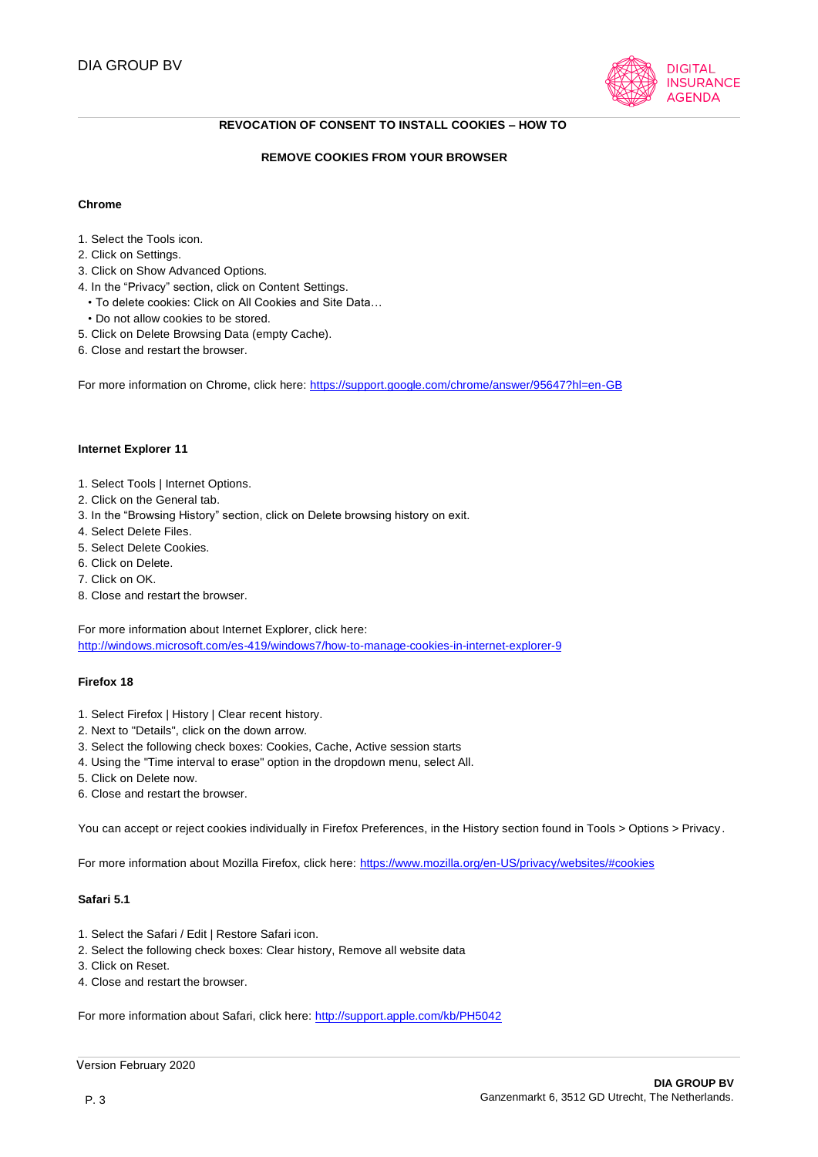

### **REVOCATION OF CONSENT TO INSTALL COOKIES – HOW TO**

### **REMOVE COOKIES FROM YOUR BROWSER**

#### **Chrome**

- 1. Select the Tools icon.
- 2. Click on Settings.
- 3. Click on Show Advanced Options.
- 4. In the "Privacy" section, click on Content Settings.
	- To delete cookies: Click on All Cookies and Site Data…
	- Do not allow cookies to be stored.
- 5. Click on Delete Browsing Data (empty Cache).
- 6. Close and restart the browser.

For more information on Chrome, click here[: https://support.google.com/chrome/answer/95647?hl=en-GB](http://support.google.com/chrome/answer/95647?hl=es)

#### **Internet Explorer 11**

- 1. Select Tools | Internet Options.
- 2. Click on the General tab.
- 3. In the "Browsing History" section, click on Delete browsing history on exit.
- 4. Select Delete Files.
- 5. Select Delete Cookies.
- 6. Click on Delete.
- 7. Click on OK.
- 8. Close and restart the browser.

For more information about Internet Explorer, click here: <http://windows.microsoft.com/es-419/windows7/how-to-manage-cookies-in-internet-explorer-9>

#### **Firefox 18**

- 1. Select Firefox | History | Clear recent history.
- 2. Next to "Details", click on the down arrow.
- 3. Select the following check boxes: Cookies, Cache, Active session starts
- 4. Using the "Time interval to erase" option in the dropdown menu, select All.
- 5. Click on Delete now.
- 6. Close and restart the browser.

You can accept or reject cookies individually in Firefox Preferences, in the History section found in Tools > Options > Privacy.

For more information about Mozilla Firefox, click here[: https://www.mozilla.org/en-US/privacy/websites/#cookies](http://www.mozilla.org/es-ES/privacy/websites/#cookies)

### **Safari 5.1**

- 1. Select the Safari / Edit | Restore Safari icon.
- 2. Select the following check boxes: Clear history, Remove all website data
- 3. Click on Reset.
- 4. Close and restart the browser.

For more information about Safari, click here:<http://support.apple.com/kb/PH5042>

```
 Version February 2020
```